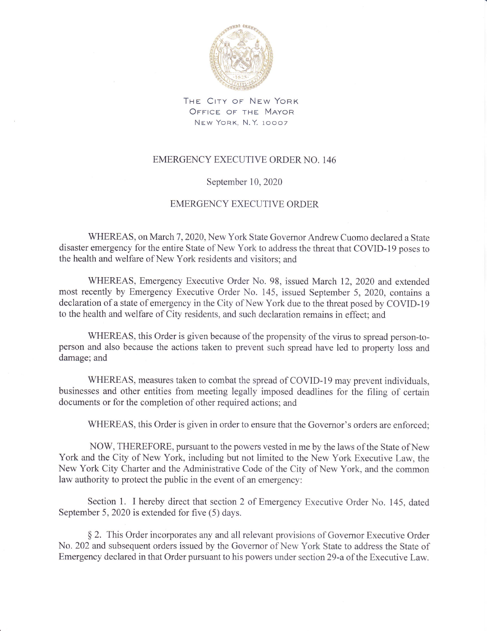

THE CITY OF NEW YORK OFFICE OF THE MAYOR New York, N.Y. 10007

## EMERGENCY EXECUTIVE ORDER NO. 146

## September 10,2020

## EMERGENCY EXECUTIVE ORDER

WHEREAS, on March 7, 2020, New York State Governor Andrew Cuomo declared a State disaster emergency for the entire State of New York to address the threat that COVID-19 poses to the health and welfare of New York residents and visitors; and

WHEREAS, Emergency Executive Order No. 98, issued March 12,2020 and extended most recently by Emergency Executive Order No. 145, issued September 5, 2020, contains <sup>a</sup> declaration of a state of emergency in the City of New York due to the threat posed by COVID-l9 to the health and welfare of City residents, and such declaration remains in effect; and

WHEREAS, this Order is given because of the propensity of the virus to spread person-toperson and also because the actions taken to prevent such spread have led to property loss and damage; and

WHEREAS, measures taken to combat the spread of COVID-l9 may prevent individuals, businesses and other entities from meeting legally imposed deadlines for the filing of certain documents or for the completion of other required actions; and

WHEREAS, this Order is given in order to ensure that the Govemor's orders are enforced;

NOW, THEREFORE, pursuant to the powers vested in me by the laws of the State of New York and the City of New York, including but not limited to the New York Executive Law, the New York City Charter and the Administrative Code of the City of New York, and the common law authority to protect the public in the event of an emergency:

Section 1. I hereby direct that section 2 of Emergency Executive Order No. 145, dated September 5, 2020 is extended for five (5) days.

\$ 2. This Order incorporates any and all relevant provisions of Governor Executive Order No. 202 and subsequent orders issued by the Govemor of New York State to address the State of Emergency declared in that Order pursuant to his powers under section 29-a of the Executive Law.